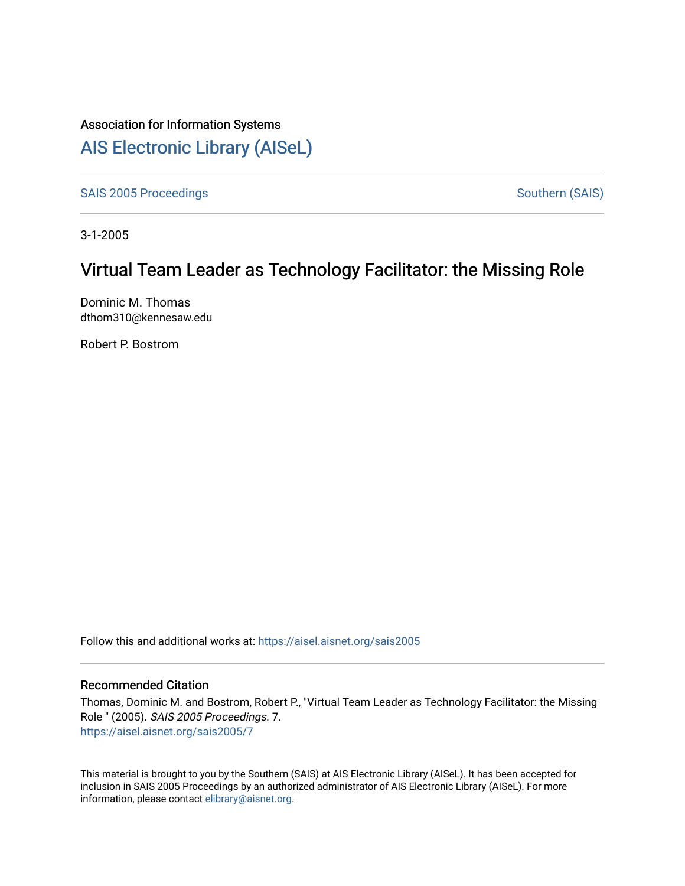# Association for Information Systems

# [AIS Electronic Library \(AISeL\)](https://aisel.aisnet.org/)

[SAIS 2005 Proceedings](https://aisel.aisnet.org/sais2005) SAIS 2005 Proceedings

3-1-2005

# Virtual Team Leader as Technology Facilitator: the Missing Role

Dominic M. Thomas dthom310@kennesaw.edu

Robert P. Bostrom

Follow this and additional works at: [https://aisel.aisnet.org/sais2005](https://aisel.aisnet.org/sais2005?utm_source=aisel.aisnet.org%2Fsais2005%2F7&utm_medium=PDF&utm_campaign=PDFCoverPages) 

#### Recommended Citation

Thomas, Dominic M. and Bostrom, Robert P., "Virtual Team Leader as Technology Facilitator: the Missing Role " (2005). SAIS 2005 Proceedings. 7. [https://aisel.aisnet.org/sais2005/7](https://aisel.aisnet.org/sais2005/7?utm_source=aisel.aisnet.org%2Fsais2005%2F7&utm_medium=PDF&utm_campaign=PDFCoverPages) 

This material is brought to you by the Southern (SAIS) at AIS Electronic Library (AISeL). It has been accepted for inclusion in SAIS 2005 Proceedings by an authorized administrator of AIS Electronic Library (AISeL). For more information, please contact [elibrary@aisnet.org.](mailto:elibrary@aisnet.org%3E)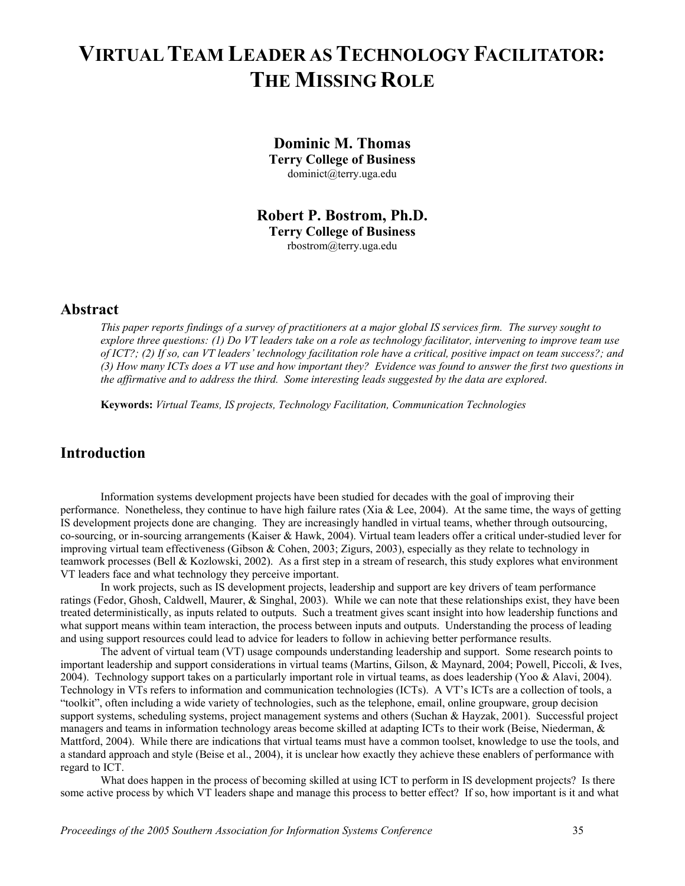# **VIRTUAL TEAM LEADER AS TECHNOLOGY FACILITATOR: THE MISSING ROLE**

#### **Dominic M. Thomas**

**Terry College of Business**  dominict@terry.uga.edu

**Robert P. Bostrom, Ph.D. Terry College of Business** 

rbostrom@terry.uga.edu

#### **Abstract**

*This paper reports findings of a survey of practitioners at a major global IS services firm. The survey sought to explore three questions: (1) Do VT leaders take on a role as technology facilitator, intervening to improve team use of ICT?; (2) If so, can VT leaders' technology facilitation role have a critical, positive impact on team success?; and (3) How many ICTs does a VT use and how important they? Evidence was found to answer the first two questions in the affirmative and to address the third. Some interesting leads suggested by the data are explored*.

**Keywords:** *Virtual Teams, IS projects, Technology Facilitation, Communication Technologies*

## **Introduction**

Information systems development projects have been studied for decades with the goal of improving their performance. Nonetheless, they continue to have high failure rates (Xia & Lee, 2004). At the same time, the ways of getting IS development projects done are changing. They are increasingly handled in virtual teams, whether through outsourcing, co-sourcing, or in-sourcing arrangements (Kaiser & Hawk, 2004). Virtual team leaders offer a critical under-studied lever for improving virtual team effectiveness (Gibson & Cohen, 2003; Zigurs, 2003), especially as they relate to technology in teamwork processes (Bell & Kozlowski, 2002). As a first step in a stream of research, this study explores what environment VT leaders face and what technology they perceive important.

In work projects, such as IS development projects, leadership and support are key drivers of team performance ratings (Fedor, Ghosh, Caldwell, Maurer, & Singhal, 2003). While we can note that these relationships exist, they have been treated deterministically, as inputs related to outputs. Such a treatment gives scant insight into how leadership functions and what support means within team interaction, the process between inputs and outputs. Understanding the process of leading and using support resources could lead to advice for leaders to follow in achieving better performance results.

The advent of virtual team (VT) usage compounds understanding leadership and support. Some research points to important leadership and support considerations in virtual teams (Martins, Gilson, & Maynard, 2004; Powell, Piccoli, & Ives, 2004). Technology support takes on a particularly important role in virtual teams, as does leadership (Yoo & Alavi, 2004). Technology in VTs refers to information and communication technologies (ICTs). A VT's ICTs are a collection of tools, a "toolkit", often including a wide variety of technologies, such as the telephone, email, online groupware, group decision support systems, scheduling systems, project management systems and others (Suchan & Hayzak, 2001). Successful project managers and teams in information technology areas become skilled at adapting ICTs to their work (Beise, Niederman, & Mattford, 2004). While there are indications that virtual teams must have a common toolset, knowledge to use the tools, and a standard approach and style (Beise et al., 2004), it is unclear how exactly they achieve these enablers of performance with regard to ICT.

What does happen in the process of becoming skilled at using ICT to perform in IS development projects? Is there some active process by which VT leaders shape and manage this process to better effect? If so, how important is it and what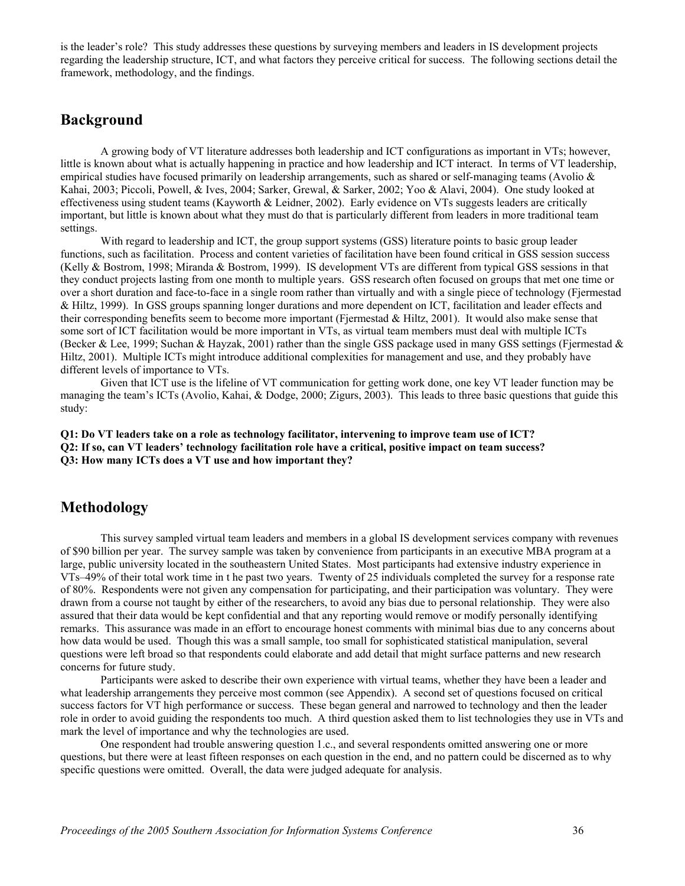is the leader's role? This study addresses these questions by surveying members and leaders in IS development projects regarding the leadership structure, ICT, and what factors they perceive critical for success. The following sections detail the framework, methodology, and the findings.

#### **Background**

A growing body of VT literature addresses both leadership and ICT configurations as important in VTs; however, little is known about what is actually happening in practice and how leadership and ICT interact. In terms of VT leadership, empirical studies have focused primarily on leadership arrangements, such as shared or self-managing teams (Avolio  $\&$ Kahai, 2003; Piccoli, Powell, & Ives, 2004; Sarker, Grewal, & Sarker, 2002; Yoo & Alavi, 2004). One study looked at effectiveness using student teams (Kayworth & Leidner, 2002). Early evidence on VTs suggests leaders are critically important, but little is known about what they must do that is particularly different from leaders in more traditional team settings.

With regard to leadership and ICT, the group support systems (GSS) literature points to basic group leader functions, such as facilitation. Process and content varieties of facilitation have been found critical in GSS session success (Kelly & Bostrom, 1998; Miranda & Bostrom, 1999). IS development VTs are different from typical GSS sessions in that they conduct projects lasting from one month to multiple years. GSS research often focused on groups that met one time or over a short duration and face-to-face in a single room rather than virtually and with a single piece of technology (Fjermestad & Hiltz, 1999). In GSS groups spanning longer durations and more dependent on ICT, facilitation and leader effects and their corresponding benefits seem to become more important (Fjermestad & Hiltz, 2001). It would also make sense that some sort of ICT facilitation would be more important in VTs, as virtual team members must deal with multiple ICTs (Becker & Lee, 1999; Suchan & Hayzak, 2001) rather than the single GSS package used in many GSS settings (Fjermestad & Hiltz, 2001). Multiple ICTs might introduce additional complexities for management and use, and they probably have different levels of importance to VTs.

Given that ICT use is the lifeline of VT communication for getting work done, one key VT leader function may be managing the team's ICTs (Avolio, Kahai, & Dodge, 2000; Zigurs, 2003). This leads to three basic questions that guide this study:

**Q1: Do VT leaders take on a role as technology facilitator, intervening to improve team use of ICT? Q2: If so, can VT leaders' technology facilitation role have a critical, positive impact on team success? Q3: How many ICTs does a VT use and how important they?** 

#### **Methodology**

This survey sampled virtual team leaders and members in a global IS development services company with revenues of \$90 billion per year. The survey sample was taken by convenience from participants in an executive MBA program at a large, public university located in the southeastern United States. Most participants had extensive industry experience in VTs–49% of their total work time in t he past two years. Twenty of 25 individuals completed the survey for a response rate of 80%. Respondents were not given any compensation for participating, and their participation was voluntary. They were drawn from a course not taught by either of the researchers, to avoid any bias due to personal relationship. They were also assured that their data would be kept confidential and that any reporting would remove or modify personally identifying remarks. This assurance was made in an effort to encourage honest comments with minimal bias due to any concerns about how data would be used. Though this was a small sample, too small for sophisticated statistical manipulation, several questions were left broad so that respondents could elaborate and add detail that might surface patterns and new research concerns for future study.

Participants were asked to describe their own experience with virtual teams, whether they have been a leader and what leadership arrangements they perceive most common (see Appendix). A second set of questions focused on critical success factors for VT high performance or success. These began general and narrowed to technology and then the leader role in order to avoid guiding the respondents too much. A third question asked them to list technologies they use in VTs and mark the level of importance and why the technologies are used.

One respondent had trouble answering question 1.c., and several respondents omitted answering one or more questions, but there were at least fifteen responses on each question in the end, and no pattern could be discerned as to why specific questions were omitted. Overall, the data were judged adequate for analysis.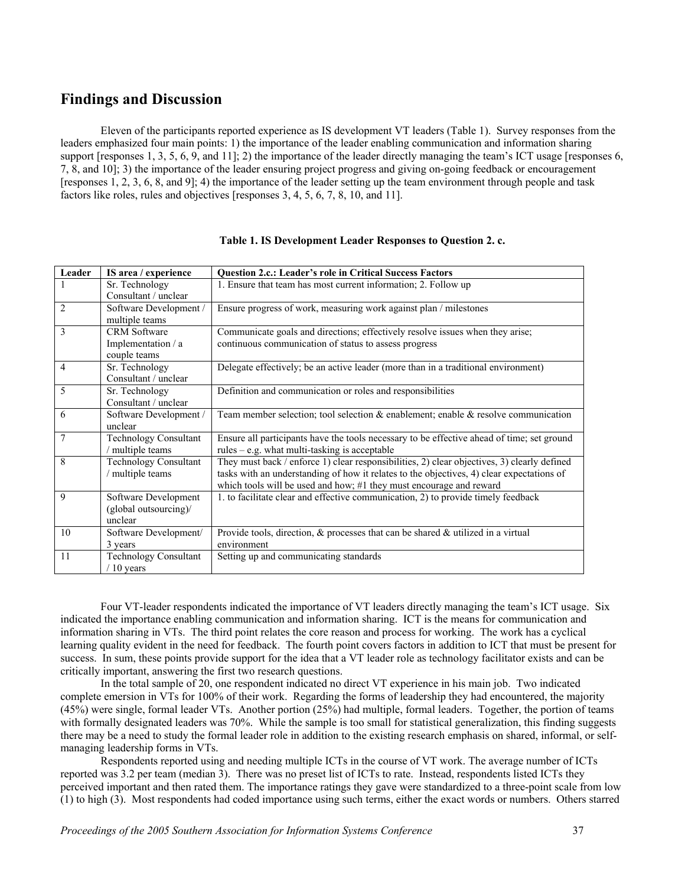### **Findings and Discussion**

Eleven of the participants reported experience as IS development VT leaders ([Table 1\)](#page-3-0). Survey responses from the leaders emphasized four main points: 1) the importance of the leader enabling communication and information sharing support [responses 1, 3, 5, 6, 9, and 11]; 2) the importance of the leader directly managing the team's ICT usage [responses 6, 7, 8, and 10]; 3) the importance of the leader ensuring project progress and giving on-going feedback or encouragement [responses 1, 2, 3, 6, 8, and 9]; 4) the importance of the leader setting up the team environment through people and task factors like roles, rules and objectives [responses 3, 4, 5, 6, 7, 8, 10, and 11].

| Leader         | IS area / experience                                     | <b>Question 2.c.: Leader's role in Critical Success Factors</b>                                                                                                                                                                                                 |
|----------------|----------------------------------------------------------|-----------------------------------------------------------------------------------------------------------------------------------------------------------------------------------------------------------------------------------------------------------------|
|                | Sr. Technology                                           | 1. Ensure that team has most current information; 2. Follow up                                                                                                                                                                                                  |
|                | Consultant / unclear                                     |                                                                                                                                                                                                                                                                 |
| $\overline{2}$ | Software Development /<br>multiple teams                 | Ensure progress of work, measuring work against plan / milestones                                                                                                                                                                                               |
| 3              | <b>CRM</b> Software                                      | Communicate goals and directions; effectively resolve issues when they arise;                                                                                                                                                                                   |
|                | Implementation / a<br>couple teams                       | continuous communication of status to assess progress                                                                                                                                                                                                           |
| $\overline{4}$ | Sr. Technology<br>Consultant / unclear                   | Delegate effectively; be an active leader (more than in a traditional environment)                                                                                                                                                                              |
| 5              | Sr. Technology<br>Consultant / unclear                   | Definition and communication or roles and responsibilities                                                                                                                                                                                                      |
| 6              | Software Development /<br>unclear                        | Team member selection; tool selection $\&$ enablement; enable $\&$ resolve communication                                                                                                                                                                        |
| $\overline{7}$ | <b>Technology Consultant</b><br>/ multiple teams         | Ensure all participants have the tools necessary to be effective ahead of time; set ground<br>$rules - e.g.$ what multi-tasking is acceptable                                                                                                                   |
| 8              | <b>Technology Consultant</b><br>/ multiple teams         | They must back / enforce 1) clear responsibilities, 2) clear objectives, 3) clearly defined<br>tasks with an understanding of how it relates to the objectives, 4) clear expectations of<br>which tools will be used and how; #1 they must encourage and reward |
| 9              | Software Development<br>(global outsourcing)/<br>unclear | 1. to facilitate clear and effective communication, 2) to provide timely feedback                                                                                                                                                                               |
| 10             | Software Development/<br>3 years                         | Provide tools, direction, $\&$ processes that can be shared $\&$ utilized in a virtual<br>environment                                                                                                                                                           |
| 11             | <b>Technology Consultant</b><br>$/10$ years              | Setting up and communicating standards                                                                                                                                                                                                                          |

#### <span id="page-3-0"></span>**Table 1. IS Development Leader Responses to Question 2. c.**

Four VT-leader respondents indicated the importance of VT leaders directly managing the team's ICT usage. Six indicated the importance enabling communication and information sharing. ICT is the means for communication and information sharing in VTs. The third point relates the core reason and process for working. The work has a cyclical learning quality evident in the need for feedback. The fourth point covers factors in addition to ICT that must be present for success. In sum, these points provide support for the idea that a VT leader role as technology facilitator exists and can be critically important, answering the first two research questions.

In the total sample of 20, one respondent indicated no direct VT experience in his main job. Two indicated complete emersion in VTs for 100% of their work. Regarding the forms of leadership they had encountered, the majority (45%) were single, formal leader VTs. Another portion (25%) had multiple, formal leaders. Together, the portion of teams with formally designated leaders was 70%. While the sample is too small for statistical generalization, this finding suggests there may be a need to study the formal leader role in addition to the existing research emphasis on shared, informal, or selfmanaging leadership forms in VTs.

Respondents reported using and needing multiple ICTs in the course of VT work. The average number of ICTs reported was 3.2 per team (median 3). There was no preset list of ICTs to rate. Instead, respondents listed ICTs they perceived important and then rated them. The importance ratings they gave were standardized to a three-point scale from low (1) to high (3). Most respondents had coded importance using such terms, either the exact words or numbers. Others starred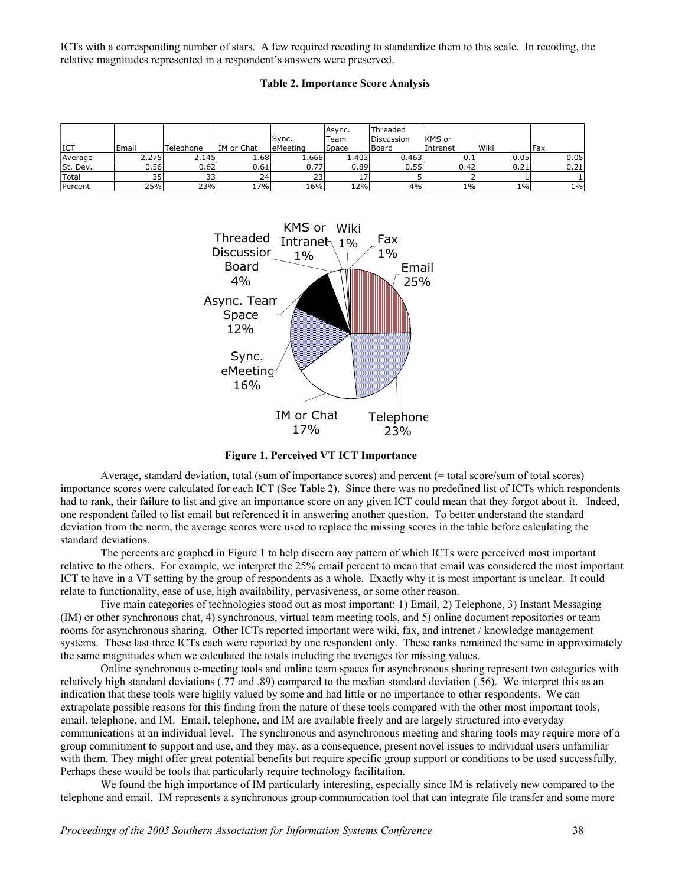ICTs with a corresponding number of stars. A few required recoding to standardize them to this scale. In recoding, the relative magnitudes represented in a respondent's answers were preserved.

#### **Table 2. Importance Score Analysis**

|              |                 |           |            | lSvnc.    | lAsvnc.<br>'Team | Threaded<br>Discussion | <b>IKMS</b> or |             |       |
|--------------|-----------------|-----------|------------|-----------|------------------|------------------------|----------------|-------------|-------|
| <b>ICT</b>   | Email           | Telephone | IM or Chat | leMeeting | <b>Space</b>     | lBoard                 | Intranet       | <b>Wiki</b> | Fax   |
| Average      | 2.275           | 2.145     | 1.681      | ا668.ء    | ا4031.           | 0.463                  | 0.1            | 0.05        | 0.05  |
| St. Dev.     | 0.56l           | 0.62      | 0.61       | 0.77      | 0.89             | 0.55                   | 0.42           | 0.21        | 0.21  |
| <b>Total</b> | 35 <sub>1</sub> | 33        | 24         | 23        |                  |                        |                |             |       |
| Percent      | 25%             | 23%       | 17%        | 16%       | 12%              | 4%                     | 1%             | $1\%$       | $1\%$ |



**Figure 1. Perceived VT ICT Importance** 

Average, standard deviation, total (sum of importance scores) and percent (= total score/sum of total scores) importance scores were calculated for each ICT (See Table 2). Since there was no predefined list of ICTs which respondents had to rank, their failure to list and give an importance score on any given ICT could mean that they forgot about it. Indeed, one respondent failed to list email but referenced it in answering another question. To better understand the standard deviation from the norm, the average scores were used to replace the missing scores in the table before calculating the standard deviations.

The percents are graphed in Figure 1 to help discern any pattern of which ICTs were perceived most important relative to the others. For example, we interpret the 25% email percent to mean that email was considered the most important ICT to have in a VT setting by the group of respondents as a whole. Exactly why it is most important is unclear. It could relate to functionality, ease of use, high availability, pervasiveness, or some other reason.

Five main categories of technologies stood out as most important: 1) Email, 2) Telephone, 3) Instant Messaging (IM) or other synchronous chat, 4) synchronous, virtual team meeting tools, and 5) online document repositories or team rooms for asynchronous sharing. Other ICTs reported important were wiki, fax, and intrenet / knowledge management systems. These last three ICTs each were reported by one respondent only. These ranks remained the same in approximately the same magnitudes when we calculated the totals including the averages for missing values.

Online synchronous e-meeting tools and online team spaces for asynchronous sharing represent two categories with relatively high standard deviations (.77 and .89) compared to the median standard deviation (.56). We interpret this as an indication that these tools were highly valued by some and had little or no importance to other respondents. We can extrapolate possible reasons for this finding from the nature of these tools compared with the other most important tools, email, telephone, and IM. Email, telephone, and IM are available freely and are largely structured into everyday communications at an individual level. The synchronous and asynchronous meeting and sharing tools may require more of a group commitment to support and use, and they may, as a consequence, present novel issues to individual users unfamiliar with them. They might offer great potential benefits but require specific group support or conditions to be used successfully. Perhaps these would be tools that particularly require technology facilitation.

We found the high importance of IM particularly interesting, especially since IM is relatively new compared to the telephone and email. IM represents a synchronous group communication tool that can integrate file transfer and some more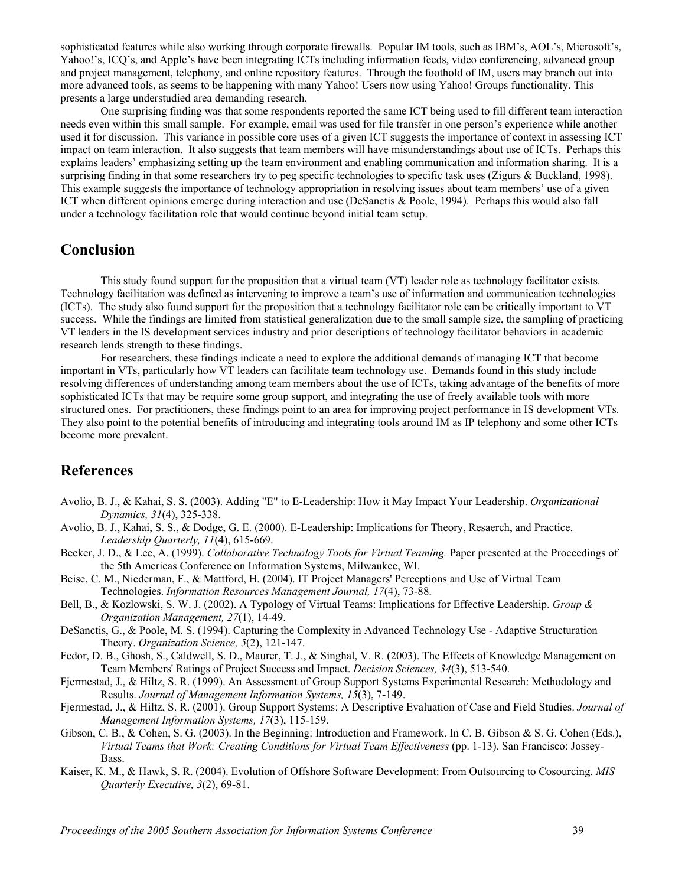sophisticated features while also working through corporate firewalls. Popular IM tools, such as IBM's, AOL's, Microsoft's, Yahoo!'s, ICQ's, and Apple's have been integrating ICTs including information feeds, video conferencing, advanced group and project management, telephony, and online repository features. Through the foothold of IM, users may branch out into more advanced tools, as seems to be happening with many Yahoo! Users now using Yahoo! Groups functionality. This presents a large understudied area demanding research.

One surprising finding was that some respondents reported the same ICT being used to fill different team interaction needs even within this small sample. For example, email was used for file transfer in one person's experience while another used it for discussion. This variance in possible core uses of a given ICT suggests the importance of context in assessing ICT impact on team interaction. It also suggests that team members will have misunderstandings about use of ICTs. Perhaps this explains leaders' emphasizing setting up the team environment and enabling communication and information sharing. It is a surprising finding in that some researchers try to peg specific technologies to specific task uses (Zigurs & Buckland, 1998). This example suggests the importance of technology appropriation in resolving issues about team members' use of a given ICT when different opinions emerge during interaction and use (DeSanctis & Poole, 1994). Perhaps this would also fall under a technology facilitation role that would continue beyond initial team setup.

## **Conclusion**

This study found support for the proposition that a virtual team (VT) leader role as technology facilitator exists. Technology facilitation was defined as intervening to improve a team's use of information and communication technologies (ICTs). The study also found support for the proposition that a technology facilitator role can be critically important to VT success. While the findings are limited from statistical generalization due to the small sample size, the sampling of practicing VT leaders in the IS development services industry and prior descriptions of technology facilitator behaviors in academic research lends strength to these findings.

For researchers, these findings indicate a need to explore the additional demands of managing ICT that become important in VTs, particularly how VT leaders can facilitate team technology use. Demands found in this study include resolving differences of understanding among team members about the use of ICTs, taking advantage of the benefits of more sophisticated ICTs that may be require some group support, and integrating the use of freely available tools with more structured ones. For practitioners, these findings point to an area for improving project performance in IS development VTs. They also point to the potential benefits of introducing and integrating tools around IM as IP telephony and some other ICTs become more prevalent.

# **References**

- Avolio, B. J., & Kahai, S. S. (2003). Adding "E" to E-Leadership: How it May Impact Your Leadership. *Organizational Dynamics, 31*(4), 325-338.
- Avolio, B. J., Kahai, S. S., & Dodge, G. E. (2000). E-Leadership: Implications for Theory, Resaerch, and Practice. *Leadership Quarterly, 11*(4), 615-669.
- Becker, J. D., & Lee, A. (1999). *Collaborative Technology Tools for Virtual Teaming.* Paper presented at the Proceedings of the 5th Americas Conference on Information Systems, Milwaukee, WI.
- Beise, C. M., Niederman, F., & Mattford, H. (2004). IT Project Managers' Perceptions and Use of Virtual Team Technologies. *Information Resources Management Journal, 17*(4), 73-88.
- Bell, B., & Kozlowski, S. W. J. (2002). A Typology of Virtual Teams: Implications for Effective Leadership. *Group & Organization Management, 27*(1), 14-49.
- DeSanctis, G., & Poole, M. S. (1994). Capturing the Complexity in Advanced Technology Use Adaptive Structuration Theory. *Organization Science, 5*(2), 121-147.
- Fedor, D. B., Ghosh, S., Caldwell, S. D., Maurer, T. J., & Singhal, V. R. (2003). The Effects of Knowledge Management on Team Members' Ratings of Project Success and Impact. *Decision Sciences, 34*(3), 513-540.
- Fjermestad, J., & Hiltz, S. R. (1999). An Assessment of Group Support Systems Experimental Research: Methodology and Results. *Journal of Management Information Systems, 15*(3), 7-149.
- Fjermestad, J., & Hiltz, S. R. (2001). Group Support Systems: A Descriptive Evaluation of Case and Field Studies. *Journal of Management Information Systems, 17*(3), 115-159.
- Gibson, C. B., & Cohen, S. G. (2003). In the Beginning: Introduction and Framework. In C. B. Gibson & S. G. Cohen (Eds.), *Virtual Teams that Work: Creating Conditions for Virtual Team Effectiveness* (pp. 1-13). San Francisco: Jossey-Bass.
- Kaiser, K. M., & Hawk, S. R. (2004). Evolution of Offshore Software Development: From Outsourcing to Cosourcing. *MIS Quarterly Executive, 3*(2), 69-81.